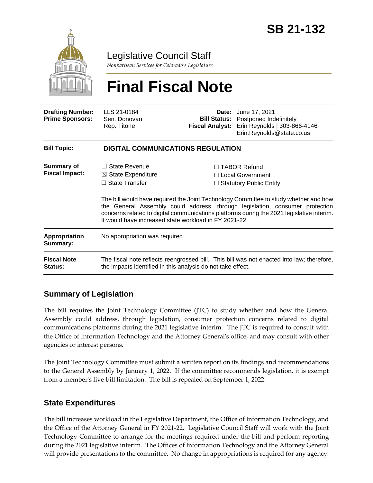

Legislative Council Staff

*Nonpartisan Services for Colorado's Legislature*

# **Final Fiscal Note**

| <b>Drafting Number:</b><br><b>Prime Sponsors:</b> | LLS 21-0184<br>Sen. Donovan<br>Rep. Titone                                                                                                               | <b>Fiscal Analyst:</b> | <b>Date:</b> June 17, 2021<br><b>Bill Status:</b> Postponed Indefinitely<br>Erin Reynolds   303-866-4146<br>Erin.Reynolds@state.co.us                                                                                                                                                                                                                 |  |
|---------------------------------------------------|----------------------------------------------------------------------------------------------------------------------------------------------------------|------------------------|-------------------------------------------------------------------------------------------------------------------------------------------------------------------------------------------------------------------------------------------------------------------------------------------------------------------------------------------------------|--|
| <b>Bill Topic:</b>                                | <b>DIGITAL COMMUNICATIONS REGULATION</b>                                                                                                                 |                        |                                                                                                                                                                                                                                                                                                                                                       |  |
| <b>Summary of</b><br><b>Fiscal Impact:</b>        | $\Box$ State Revenue<br>$\boxtimes$ State Expenditure<br>$\Box$ State Transfer<br>It would have increased state workload in FY 2021-22.                  |                        | $\Box$ TABOR Refund<br>$\Box$ Local Government<br>$\Box$ Statutory Public Entity<br>The bill would have required the Joint Technology Committee to study whether and how<br>the General Assembly could address, through legislation, consumer protection<br>concerns related to digital communications platforms during the 2021 legislative interim. |  |
| Appropriation<br>Summary:                         | No appropriation was required.                                                                                                                           |                        |                                                                                                                                                                                                                                                                                                                                                       |  |
| <b>Fiscal Note</b><br>Status:                     | The fiscal note reflects reengrossed bill. This bill was not enacted into law; therefore,<br>the impacts identified in this analysis do not take effect. |                        |                                                                                                                                                                                                                                                                                                                                                       |  |

# **Summary of Legislation**

The bill requires the Joint Technology Committee (JTC) to study whether and how the General Assembly could address, through legislation, consumer protection concerns related to digital communications platforms during the 2021 legislative interim. The JTC is required to consult with the Office of Information Technology and the Attorney General's office, and may consult with other agencies or interest persons.

The Joint Technology Committee must submit a written report on its findings and recommendations to the General Assembly by January 1, 2022. If the committee recommends legislation, it is exempt from a member's five-bill limitation. The bill is repealed on September 1, 2022.

# **State Expenditures**

The bill increases workload in the Legislative Department, the Office of Information Technology, and the Office of the Attorney General in FY 2021-22. Legislative Council Staff will work with the Joint Technology Committee to arrange for the meetings required under the bill and perform reporting during the 2021 legislative interim. The Offices of Information Technology and the Attorney General will provide presentations to the committee. No change in appropriations is required for any agency.